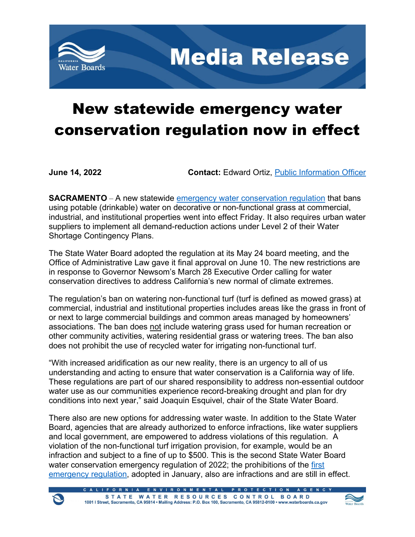

**Media Release** 

## New statewide emergency water conservation regulation now in effect

**June 14, 2022 Contact:** Edward Ortiz, [Public Information Officer](mailto:edward.ortiz@waterboards.ca.gov)

**SACRAMENTO** – A new statewide [emergency water conservation regulation](https://www.waterboards.ca.gov/water_issues/programs/conservation_portal/regs/docs/2022-0606-03E-approval.pdf) that bans using potable (drinkable) water on decorative or non-functional grass at commercial, industrial, and institutional properties went into effect Friday. It also requires urban water suppliers to implement all demand-reduction actions under Level 2 of their Water Shortage Contingency Plans.

The State Water Board adopted the regulation at its May 24 board meeting, and the Office of Administrative Law gave it final approval on June 10. The new restrictions are in response to Governor Newsom's March 28 Executive Order calling for water conservation directives to address California's new normal of climate extremes.

The regulation's ban on watering non-functional turf (turf is defined as mowed grass) at commercial, industrial and institutional properties includes areas like the grass in front of or next to large commercial buildings and common areas managed by homeowners' associations. The ban does not include watering grass used for human recreation or other community activities, watering residential grass or watering trees. The ban also does not prohibit the use of recycled water for irrigating non-functional turf.

"With increased aridification as our new reality, there is an urgency to all of us understanding and acting to ensure that water conservation is a California way of life. These regulations are part of our shared responsibility to address non-essential outdoor water use as our communities experience record-breaking drought and plan for dry conditions into next year," said Joaquin Esquivel, chair of the State Water Board.

There also are new options for addressing water waste. In addition to the State Water Board, agencies that are already authorized to enforce infractions, like water suppliers and local government, are empowered to address violations of this regulation. A violation of the non-functional turf irrigation provision, for example, would be an infraction and subject to a fine of up to \$500. This is the second State Water Board water conservation emergency regulation of 2022; the prohibitions of the first [emergency regulation](https://www.waterboards.ca.gov/board_decisions/adopted_orders/resolutions/2022/rs2022_0002.pdf), adopted in January, also are infractions and are still in effect.